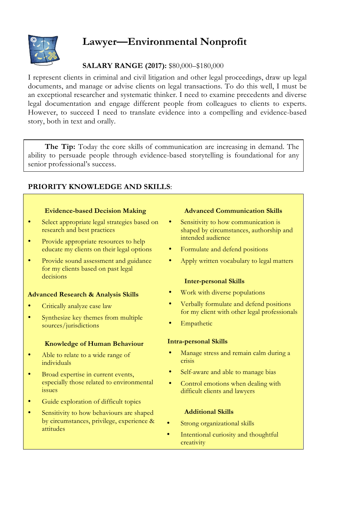

# **Lawyer—Environmental Nonprofit**

# **SALARY RANGE (2017):** \$80,000–\$180,000

I represent clients in criminal and civil litigation and other legal proceedings, draw up legal documents, and manage or advise clients on legal transactions. To do this well, I must be an exceptional researcher and systematic thinker. I need to examine precedents and diverse legal documentation and engage different people from colleagues to clients to experts. However, to succeed I need to translate evidence into a compelling and evidence-based story, both in text and orally.

**The Tip:** Today the core skills of communication are increasing in demand. The ability to persuade people through evidence-based storytelling is foundational for any senior professional's success.

# **PRIORITY KNOWLEDGE AND SKILLS**:

#### **Evidence-based Decision Making**

- Select appropriate legal strategies based on research and best practices
- Provide appropriate resources to help educate my clients on their legal options
- Provide sound assessment and guidance for my clients based on past legal decisions

#### **Advanced Research & Analysis Skills**

- Critically analyze case law
- Synthesize key themes from multiple sources/jurisdictions

#### **Knowledge of Human Behaviour**

- Able to relate to a wide range of individuals
- Broad expertise in current events, especially those related to environmental issues
- Guide exploration of difficult topics
- Sensitivity to how behaviours are shaped by circumstances, privilege, experience & attitudes

#### **Advanced Communication Skills**

- Sensitivity to how communication is shaped by circumstances, authorship and intended audience
- Formulate and defend positions
- Apply written vocabulary to legal matters

## **Inter-personal Skills**

- Work with diverse populations
- Verbally formulate and defend positions for my client with other legal professionals
- **Empathetic**

## **Intra-personal Skills**

- Manage stress and remain calm during a crisis
- Self-aware and able to manage bias
- Control emotions when dealing with difficult clients and lawyers

## **Additional Skills**

- Strong organizational skills
- Intentional curiosity and thoughtful creativity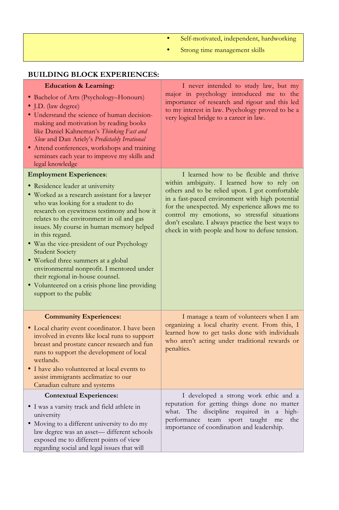- Self-motivated, independent, hardworking
- Strong time management skills

| <b>BUILDING BLOCK EXPERIENCES:</b>                                                                                                                                                                                                                                                                                                                                                                                                                                                                                                                                                              |                                                                                                                                                                                                                                                                                                                                                                                                        |
|-------------------------------------------------------------------------------------------------------------------------------------------------------------------------------------------------------------------------------------------------------------------------------------------------------------------------------------------------------------------------------------------------------------------------------------------------------------------------------------------------------------------------------------------------------------------------------------------------|--------------------------------------------------------------------------------------------------------------------------------------------------------------------------------------------------------------------------------------------------------------------------------------------------------------------------------------------------------------------------------------------------------|
| <b>Education &amp; Learning:</b><br>• Bachelor of Arts (Psychology-Honours)<br>· J.D. (law degree)<br>· Understand the science of human decision-<br>making and motivation by reading books<br>like Daniel Kahneman's Thinking Fast and<br>Slow and Dan Ariely's Predictably Irrational<br>· Attend conferences, workshops and training<br>seminars each year to improve my skills and<br>legal knowledge                                                                                                                                                                                       | I never intended to study law, but my<br>major in psychology introduced me to the<br>importance of research and rigour and this led<br>to my interest in law. Psychology proved to be a<br>very logical bridge to a career in law.                                                                                                                                                                     |
| <b>Employment Experiences:</b><br>• Residence leader at university<br>• Worked as a research assistant for a lawyer<br>who was looking for a student to do<br>research on eyewitness testimony and how it<br>relates to the environment in oil and gas<br>issues. My course in human memory helped<br>in this regard.<br>· Was the vice-president of our Psychology<br><b>Student Society</b><br>· Worked three summers at a global<br>environmental nonprofit. I mentored under<br>their regional in-house counsel.<br>• Volunteered on a crisis phone line providing<br>support to the public | I learned how to be flexible and thrive<br>within ambiguity. I learned how to rely on<br>others and to be relied upon. I got comfortable<br>in a fast-paced environment with high potential<br>for the unexpected. My experience allows me to<br>control my emotions, so stressful situations<br>don't escalate. I always practice the best ways to<br>check in with people and how to defuse tension. |
| <b>Community Experiences:</b><br>· Local charity event coordinator. I have been<br>involved in events like local runs to support<br>breast and prostate cancer research and fun<br>runs to support the development of local<br>wetlands.<br>• I have also volunteered at local events to<br>assist immigrants acclimatize to our<br>Canadian culture and systems                                                                                                                                                                                                                                | I manage a team of volunteers when I am<br>organizing a local charity event. From this, I<br>learned how to get tasks done with individuals<br>who aren't acting under traditional rewards or<br>penalties.                                                                                                                                                                                            |
| <b>Contextual Experiences:</b><br>· I was a varsity track and field athlete in<br>university<br>• Moving to a different university to do my<br>law degree was an asset-different schools<br>exposed me to different points of view<br>regarding social and legal issues that will                                                                                                                                                                                                                                                                                                               | I developed a strong work ethic and a<br>reputation for getting things done no matter<br>what. The discipline required in a high-<br>performance team sport taught me<br>the<br>importance of coordination and leadership.                                                                                                                                                                             |